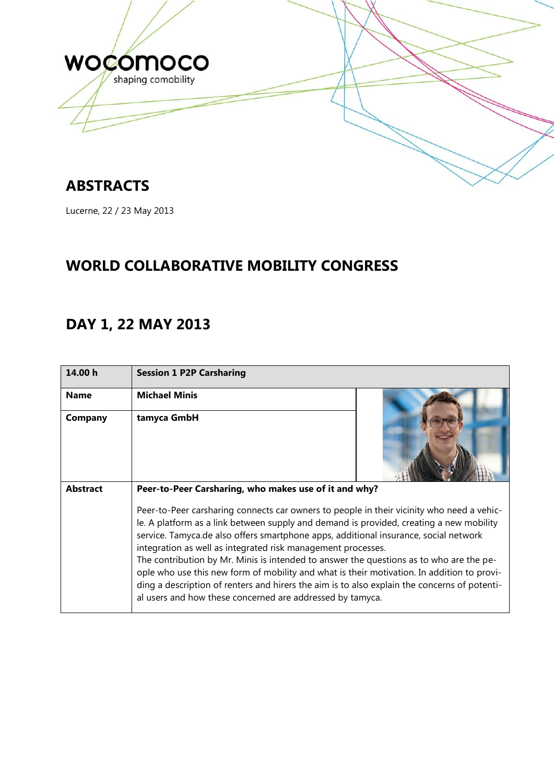

## **ABSTRACTS**

Lucerne, 22 / 23 May 2013

## **WORLD COLLABORATIVE MOBILITY CONGRESS**

## **DAY 1, 22 MAY 2013**

| 14.00 h         | <b>Session 1 P2P Carsharing</b>                                                                                                                                                                                                                                                                                                                                                                                                                                                                                                                                                                                                                                                                    |  |
|-----------------|----------------------------------------------------------------------------------------------------------------------------------------------------------------------------------------------------------------------------------------------------------------------------------------------------------------------------------------------------------------------------------------------------------------------------------------------------------------------------------------------------------------------------------------------------------------------------------------------------------------------------------------------------------------------------------------------------|--|
| <b>Name</b>     | <b>Michael Minis</b>                                                                                                                                                                                                                                                                                                                                                                                                                                                                                                                                                                                                                                                                               |  |
| Company         | tamyca GmbH                                                                                                                                                                                                                                                                                                                                                                                                                                                                                                                                                                                                                                                                                        |  |
| <b>Abstract</b> | Peer-to-Peer Carsharing, who makes use of it and why?                                                                                                                                                                                                                                                                                                                                                                                                                                                                                                                                                                                                                                              |  |
|                 | Peer-to-Peer carsharing connects car owners to people in their vicinity who need a vehic-<br>le. A platform as a link between supply and demand is provided, creating a new mobility<br>service. Tamyca.de also offers smartphone apps, additional insurance, social network<br>integration as well as integrated risk management processes.<br>The contribution by Mr. Minis is intended to answer the questions as to who are the pe-<br>ople who use this new form of mobility and what is their motivation. In addition to provi-<br>ding a description of renters and hirers the aim is to also explain the concerns of potenti-<br>al users and how these concerned are addressed by tamyca. |  |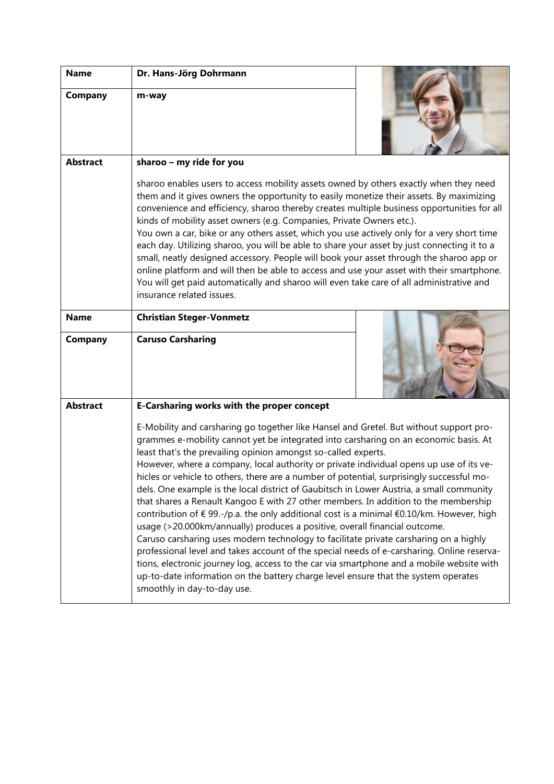| <b>Name</b>     | Dr. Hans-Jörg Dohrmann                                                                                                                                                                                                                                                                                                                                                                                                                                                                                                                                                                                                                                                                                                                                                                                                                                                                                                                                                                                                                                                                                                                                                                                          |  |
|-----------------|-----------------------------------------------------------------------------------------------------------------------------------------------------------------------------------------------------------------------------------------------------------------------------------------------------------------------------------------------------------------------------------------------------------------------------------------------------------------------------------------------------------------------------------------------------------------------------------------------------------------------------------------------------------------------------------------------------------------------------------------------------------------------------------------------------------------------------------------------------------------------------------------------------------------------------------------------------------------------------------------------------------------------------------------------------------------------------------------------------------------------------------------------------------------------------------------------------------------|--|
| Company         | m-way                                                                                                                                                                                                                                                                                                                                                                                                                                                                                                                                                                                                                                                                                                                                                                                                                                                                                                                                                                                                                                                                                                                                                                                                           |  |
|                 |                                                                                                                                                                                                                                                                                                                                                                                                                                                                                                                                                                                                                                                                                                                                                                                                                                                                                                                                                                                                                                                                                                                                                                                                                 |  |
|                 |                                                                                                                                                                                                                                                                                                                                                                                                                                                                                                                                                                                                                                                                                                                                                                                                                                                                                                                                                                                                                                                                                                                                                                                                                 |  |
| <b>Abstract</b> | sharoo - my ride for you                                                                                                                                                                                                                                                                                                                                                                                                                                                                                                                                                                                                                                                                                                                                                                                                                                                                                                                                                                                                                                                                                                                                                                                        |  |
|                 | sharoo enables users to access mobility assets owned by others exactly when they need<br>them and it gives owners the opportunity to easily monetize their assets. By maximizing<br>convenience and efficiency, sharoo thereby creates multiple business opportunities for all<br>kinds of mobility asset owners (e.g. Companies, Private Owners etc.).<br>You own a car, bike or any others asset, which you use actively only for a very short time<br>each day. Utilizing sharoo, you will be able to share your asset by just connecting it to a<br>small, neatly designed accessory. People will book your asset through the sharoo app or<br>online platform and will then be able to access and use your asset with their smartphone.<br>You will get paid automatically and sharoo will even take care of all administrative and<br>insurance related issues.                                                                                                                                                                                                                                                                                                                                           |  |
| <b>Name</b>     | <b>Christian Steger-Vonmetz</b>                                                                                                                                                                                                                                                                                                                                                                                                                                                                                                                                                                                                                                                                                                                                                                                                                                                                                                                                                                                                                                                                                                                                                                                 |  |
| <b>Company</b>  | <b>Caruso Carsharing</b>                                                                                                                                                                                                                                                                                                                                                                                                                                                                                                                                                                                                                                                                                                                                                                                                                                                                                                                                                                                                                                                                                                                                                                                        |  |
| <b>Abstract</b> | <b>E-Carsharing works with the proper concept</b>                                                                                                                                                                                                                                                                                                                                                                                                                                                                                                                                                                                                                                                                                                                                                                                                                                                                                                                                                                                                                                                                                                                                                               |  |
|                 | E-Mobility and carsharing go together like Hansel and Gretel. But without support pro-<br>grammes e-mobility cannot yet be integrated into carsharing on an economic basis. At<br>least that's the prevailing opinion amongst so-called experts.<br>However, where a company, local authority or private individual opens up use of its ve-<br>hicles or vehicle to others, there are a number of potential, surprisingly successful mo-<br>dels. One example is the local district of Gaubitsch in Lower Austria, a small community<br>that shares a Renault Kangoo E with 27 other members. In addition to the membership<br>contribution of € 99.-/p.a. the only additional cost is a minimal €0.10/km. However, high<br>usage (>20.000km/annually) produces a positive, overall financial outcome.<br>Caruso carsharing uses modern technology to facilitate private carsharing on a highly<br>professional level and takes account of the special needs of e-carsharing. Online reserva-<br>tions, electronic journey log, access to the car via smartphone and a mobile website with<br>up-to-date information on the battery charge level ensure that the system operates<br>smoothly in day-to-day use. |  |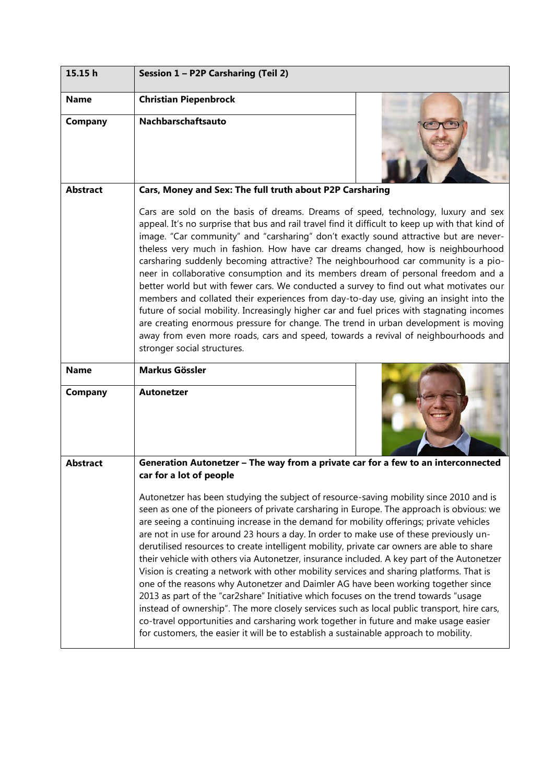| 15.15h                        | Session 1 - P2P Carsharing (Teil 2)                                                                                                                                                                                                                                                                                                                                                                                                                                                                                                                                                                                                                                                                                                                                                                                                                                                                                                                                                                                                                                                                                          |  |
|-------------------------------|------------------------------------------------------------------------------------------------------------------------------------------------------------------------------------------------------------------------------------------------------------------------------------------------------------------------------------------------------------------------------------------------------------------------------------------------------------------------------------------------------------------------------------------------------------------------------------------------------------------------------------------------------------------------------------------------------------------------------------------------------------------------------------------------------------------------------------------------------------------------------------------------------------------------------------------------------------------------------------------------------------------------------------------------------------------------------------------------------------------------------|--|
| <b>Name</b>                   | <b>Christian Piepenbrock</b>                                                                                                                                                                                                                                                                                                                                                                                                                                                                                                                                                                                                                                                                                                                                                                                                                                                                                                                                                                                                                                                                                                 |  |
| Company                       | <b>Nachbarschaftsauto</b>                                                                                                                                                                                                                                                                                                                                                                                                                                                                                                                                                                                                                                                                                                                                                                                                                                                                                                                                                                                                                                                                                                    |  |
| <b>Abstract</b>               | Cars, Money and Sex: The full truth about P2P Carsharing                                                                                                                                                                                                                                                                                                                                                                                                                                                                                                                                                                                                                                                                                                                                                                                                                                                                                                                                                                                                                                                                     |  |
|                               | Cars are sold on the basis of dreams. Dreams of speed, technology, luxury and sex<br>appeal. It's no surprise that bus and rail travel find it difficult to keep up with that kind of<br>image. "Car community" and "carsharing" don't exactly sound attractive but are never-<br>theless very much in fashion. How have car dreams changed, how is neighbourhood<br>carsharing suddenly becoming attractive? The neighbourhood car community is a pio-<br>neer in collaborative consumption and its members dream of personal freedom and a<br>better world but with fewer cars. We conducted a survey to find out what motivates our<br>members and collated their experiences from day-to-day use, giving an insight into the<br>future of social mobility. Increasingly higher car and fuel prices with stagnating incomes<br>are creating enormous pressure for change. The trend in urban development is moving<br>away from even more roads, cars and speed, towards a revival of neighbourhoods and<br>stronger social structures.                                                                                   |  |
| <b>Name</b><br><b>Company</b> | <b>Markus Gössler</b><br><b>Autonetzer</b>                                                                                                                                                                                                                                                                                                                                                                                                                                                                                                                                                                                                                                                                                                                                                                                                                                                                                                                                                                                                                                                                                   |  |
|                               |                                                                                                                                                                                                                                                                                                                                                                                                                                                                                                                                                                                                                                                                                                                                                                                                                                                                                                                                                                                                                                                                                                                              |  |
| <b>Abstract</b>               | Generation Autonetzer - The way from a private car for a few to an interconnected<br>car for a lot of people                                                                                                                                                                                                                                                                                                                                                                                                                                                                                                                                                                                                                                                                                                                                                                                                                                                                                                                                                                                                                 |  |
|                               | Autonetzer has been studying the subject of resource-saving mobility since 2010 and is<br>seen as one of the pioneers of private carsharing in Europe. The approach is obvious: we<br>are seeing a continuing increase in the demand for mobility offerings; private vehicles<br>are not in use for around 23 hours a day. In order to make use of these previously un-<br>derutilised resources to create intelligent mobility, private car owners are able to share<br>their vehicle with others via Autonetzer, insurance included. A key part of the Autonetzer<br>Vision is creating a network with other mobility services and sharing platforms. That is<br>one of the reasons why Autonetzer and Daimler AG have been working together since<br>2013 as part of the "car2share" Initiative which focuses on the trend towards "usage<br>instead of ownership". The more closely services such as local public transport, hire cars,<br>co-travel opportunities and carsharing work together in future and make usage easier<br>for customers, the easier it will be to establish a sustainable approach to mobility. |  |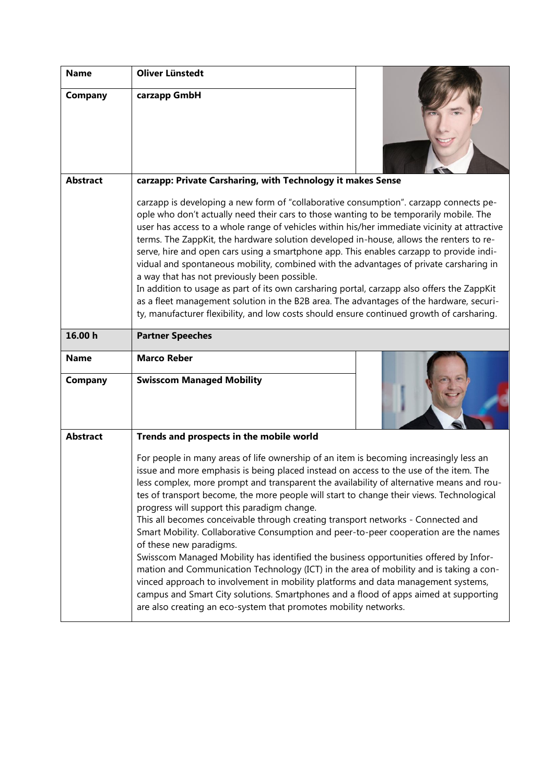| <b>Name</b>     | <b>Oliver Lünstedt</b>                                                                                                                                                                                                                                                                                                                                                                                                                                                                                                                                                                                                                                                                                                                                                                                                                                                                                                                                                                                                                                            |  |
|-----------------|-------------------------------------------------------------------------------------------------------------------------------------------------------------------------------------------------------------------------------------------------------------------------------------------------------------------------------------------------------------------------------------------------------------------------------------------------------------------------------------------------------------------------------------------------------------------------------------------------------------------------------------------------------------------------------------------------------------------------------------------------------------------------------------------------------------------------------------------------------------------------------------------------------------------------------------------------------------------------------------------------------------------------------------------------------------------|--|
| Company         | carzapp GmbH                                                                                                                                                                                                                                                                                                                                                                                                                                                                                                                                                                                                                                                                                                                                                                                                                                                                                                                                                                                                                                                      |  |
| <b>Abstract</b> | carzapp: Private Carsharing, with Technology it makes Sense                                                                                                                                                                                                                                                                                                                                                                                                                                                                                                                                                                                                                                                                                                                                                                                                                                                                                                                                                                                                       |  |
|                 | carzapp is developing a new form of "collaborative consumption". carzapp connects pe-<br>ople who don't actually need their cars to those wanting to be temporarily mobile. The<br>user has access to a whole range of vehicles within his/her immediate vicinity at attractive<br>terms. The ZappKit, the hardware solution developed in-house, allows the renters to re-<br>serve, hire and open cars using a smartphone app. This enables carzapp to provide indi-<br>vidual and spontaneous mobility, combined with the advantages of private carsharing in<br>a way that has not previously been possible.<br>In addition to usage as part of its own carsharing portal, carzapp also offers the ZappKit<br>as a fleet management solution in the B2B area. The advantages of the hardware, securi-<br>ty, manufacturer flexibility, and low costs should ensure continued growth of carsharing.                                                                                                                                                             |  |
| 16.00 h         | <b>Partner Speeches</b>                                                                                                                                                                                                                                                                                                                                                                                                                                                                                                                                                                                                                                                                                                                                                                                                                                                                                                                                                                                                                                           |  |
| <b>Name</b>     | <b>Marco Reber</b>                                                                                                                                                                                                                                                                                                                                                                                                                                                                                                                                                                                                                                                                                                                                                                                                                                                                                                                                                                                                                                                |  |
| Company         | <b>Swisscom Managed Mobility</b>                                                                                                                                                                                                                                                                                                                                                                                                                                                                                                                                                                                                                                                                                                                                                                                                                                                                                                                                                                                                                                  |  |
| <b>Abstract</b> | Trends and prospects in the mobile world                                                                                                                                                                                                                                                                                                                                                                                                                                                                                                                                                                                                                                                                                                                                                                                                                                                                                                                                                                                                                          |  |
|                 | For people in many areas of life ownership of an item is becoming increasingly less an<br>issue and more emphasis is being placed instead on access to the use of the item. The<br>less complex, more prompt and transparent the availability of alternative means and rou-<br>tes of transport become, the more people will start to change their views. Technological<br>progress will support this paradigm change.<br>This all becomes conceivable through creating transport networks - Connected and<br>Smart Mobility. Collaborative Consumption and peer-to-peer cooperation are the names<br>of these new paradigms.<br>Swisscom Managed Mobility has identified the business opportunities offered by Infor-<br>mation and Communication Technology (ICT) in the area of mobility and is taking a con-<br>vinced approach to involvement in mobility platforms and data management systems,<br>campus and Smart City solutions. Smartphones and a flood of apps aimed at supporting<br>are also creating an eco-system that promotes mobility networks. |  |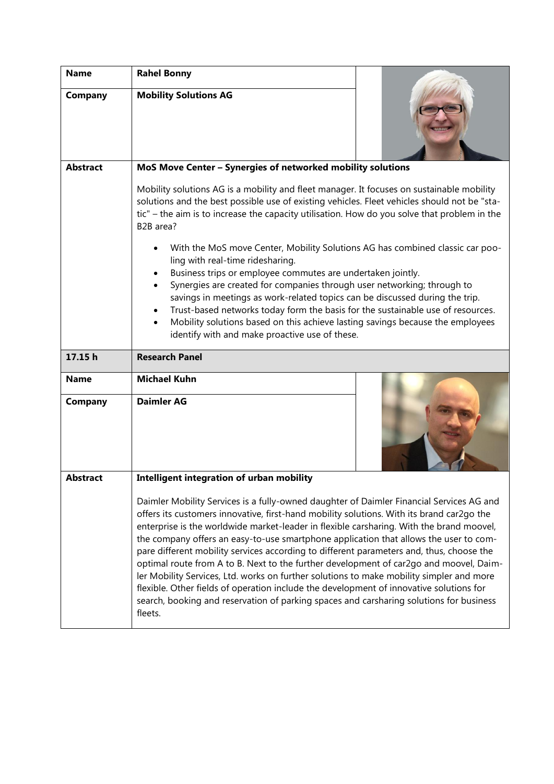| <b>Name</b>            | <b>Rahel Bonny</b>                                                                                                                                                                                                                                                                                                                                                                                                                                                                                               |  |
|------------------------|------------------------------------------------------------------------------------------------------------------------------------------------------------------------------------------------------------------------------------------------------------------------------------------------------------------------------------------------------------------------------------------------------------------------------------------------------------------------------------------------------------------|--|
| Company                | <b>Mobility Solutions AG</b>                                                                                                                                                                                                                                                                                                                                                                                                                                                                                     |  |
| <b>Abstract</b>        | MoS Move Center - Synergies of networked mobility solutions                                                                                                                                                                                                                                                                                                                                                                                                                                                      |  |
|                        | Mobility solutions AG is a mobility and fleet manager. It focuses on sustainable mobility<br>solutions and the best possible use of existing vehicles. Fleet vehicles should not be "sta-<br>tic" - the aim is to increase the capacity utilisation. How do you solve that problem in the<br>B2B area?                                                                                                                                                                                                           |  |
|                        | With the MoS move Center, Mobility Solutions AG has combined classic car poo-<br>ling with real-time ridesharing.<br>Business trips or employee commutes are undertaken jointly.<br>Synergies are created for companies through user networking; through to<br>savings in meetings as work-related topics can be discussed during the trip.<br>Trust-based networks today form the basis for the sustainable use of resources.<br>Mobility solutions based on this achieve lasting savings because the employees |  |
|                        | identify with and make proactive use of these.                                                                                                                                                                                                                                                                                                                                                                                                                                                                   |  |
|                        |                                                                                                                                                                                                                                                                                                                                                                                                                                                                                                                  |  |
| 17.15 h                | <b>Research Panel</b>                                                                                                                                                                                                                                                                                                                                                                                                                                                                                            |  |
| <b>Name</b><br>Company | <b>Michael Kuhn</b><br><b>Daimler AG</b>                                                                                                                                                                                                                                                                                                                                                                                                                                                                         |  |
| <b>Abstract</b>        | Intelligent integration of urban mobility                                                                                                                                                                                                                                                                                                                                                                                                                                                                        |  |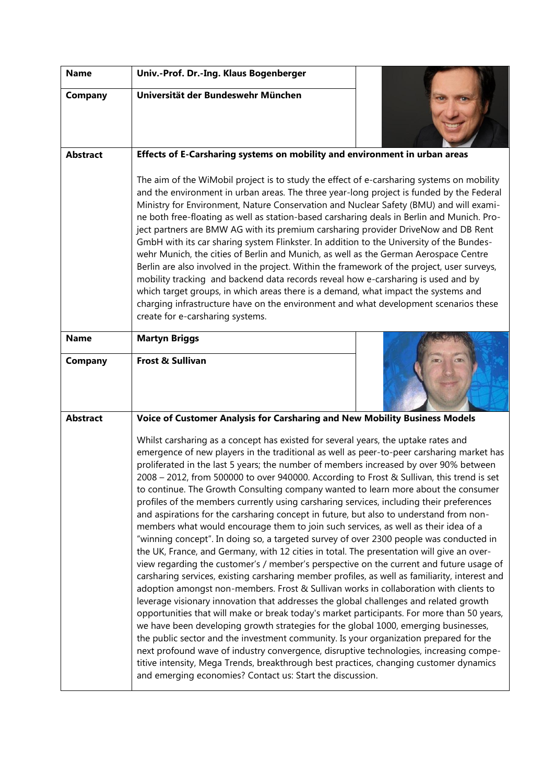| <b>Name</b>     | Univ.-Prof. Dr.-Ing. Klaus Bogenberger                                                                                                                                                                                                                                                                                                                                                                                                                                                                                                                                                                                                                                                                                                                                                                                                                                                                                                                                                                                                                                                                                                                                                                                                                                                                                                                                                                                                                                                                                                                                                                                                                                                                                                                                                                                                        |
|-----------------|-----------------------------------------------------------------------------------------------------------------------------------------------------------------------------------------------------------------------------------------------------------------------------------------------------------------------------------------------------------------------------------------------------------------------------------------------------------------------------------------------------------------------------------------------------------------------------------------------------------------------------------------------------------------------------------------------------------------------------------------------------------------------------------------------------------------------------------------------------------------------------------------------------------------------------------------------------------------------------------------------------------------------------------------------------------------------------------------------------------------------------------------------------------------------------------------------------------------------------------------------------------------------------------------------------------------------------------------------------------------------------------------------------------------------------------------------------------------------------------------------------------------------------------------------------------------------------------------------------------------------------------------------------------------------------------------------------------------------------------------------------------------------------------------------------------------------------------------------|
| <b>Company</b>  | Universität der Bundeswehr München                                                                                                                                                                                                                                                                                                                                                                                                                                                                                                                                                                                                                                                                                                                                                                                                                                                                                                                                                                                                                                                                                                                                                                                                                                                                                                                                                                                                                                                                                                                                                                                                                                                                                                                                                                                                            |
| <b>Abstract</b> | Effects of E-Carsharing systems on mobility and environment in urban areas                                                                                                                                                                                                                                                                                                                                                                                                                                                                                                                                                                                                                                                                                                                                                                                                                                                                                                                                                                                                                                                                                                                                                                                                                                                                                                                                                                                                                                                                                                                                                                                                                                                                                                                                                                    |
|                 | The aim of the WiMobil project is to study the effect of e-carsharing systems on mobility<br>and the environment in urban areas. The three year-long project is funded by the Federal<br>Ministry for Environment, Nature Conservation and Nuclear Safety (BMU) and will exami-<br>ne both free-floating as well as station-based carsharing deals in Berlin and Munich. Pro-<br>ject partners are BMW AG with its premium carsharing provider DriveNow and DB Rent<br>GmbH with its car sharing system Flinkster. In addition to the University of the Bundes-<br>wehr Munich, the cities of Berlin and Munich, as well as the German Aerospace Centre<br>Berlin are also involved in the project. Within the framework of the project, user surveys,<br>mobility tracking and backend data records reveal how e-carsharing is used and by<br>which target groups, in which areas there is a demand, what impact the systems and<br>charging infrastructure have on the environment and what development scenarios these<br>create for e-carsharing systems.                                                                                                                                                                                                                                                                                                                                                                                                                                                                                                                                                                                                                                                                                                                                                                                 |
| <b>Name</b>     | <b>Martyn Briggs</b>                                                                                                                                                                                                                                                                                                                                                                                                                                                                                                                                                                                                                                                                                                                                                                                                                                                                                                                                                                                                                                                                                                                                                                                                                                                                                                                                                                                                                                                                                                                                                                                                                                                                                                                                                                                                                          |
| <b>Company</b>  | <b>Frost &amp; Sullivan</b>                                                                                                                                                                                                                                                                                                                                                                                                                                                                                                                                                                                                                                                                                                                                                                                                                                                                                                                                                                                                                                                                                                                                                                                                                                                                                                                                                                                                                                                                                                                                                                                                                                                                                                                                                                                                                   |
| <b>Abstract</b> | Voice of Customer Analysis for Carsharing and New Mobility Business Models                                                                                                                                                                                                                                                                                                                                                                                                                                                                                                                                                                                                                                                                                                                                                                                                                                                                                                                                                                                                                                                                                                                                                                                                                                                                                                                                                                                                                                                                                                                                                                                                                                                                                                                                                                    |
|                 | Whilst carsharing as a concept has existed for several years, the uptake rates and<br>emergence of new players in the traditional as well as peer-to-peer carsharing market has<br>proliferated in the last 5 years; the number of members increased by over 90% between<br>2008 - 2012, from 500000 to over 940000. According to Frost & Sullivan, this trend is set<br>to continue. The Growth Consulting company wanted to learn more about the consumer<br>profiles of the members currently using carsharing services, including their preferences<br>and aspirations for the carsharing concept in future, but also to understand from non-<br>members what would encourage them to join such services, as well as their idea of a<br>"winning concept". In doing so, a targeted survey of over 2300 people was conducted in<br>the UK, France, and Germany, with 12 cities in total. The presentation will give an over-<br>view regarding the customer's / member's perspective on the current and future usage of<br>carsharing services, existing carsharing member profiles, as well as familiarity, interest and<br>adoption amongst non-members. Frost & Sullivan works in collaboration with clients to<br>leverage visionary innovation that addresses the global challenges and related growth<br>opportunities that will make or break today's market participants. For more than 50 years,<br>we have been developing growth strategies for the global 1000, emerging businesses,<br>the public sector and the investment community. Is your organization prepared for the<br>next profound wave of industry convergence, disruptive technologies, increasing compe-<br>titive intensity, Mega Trends, breakthrough best practices, changing customer dynamics<br>and emerging economies? Contact us: Start the discussion. |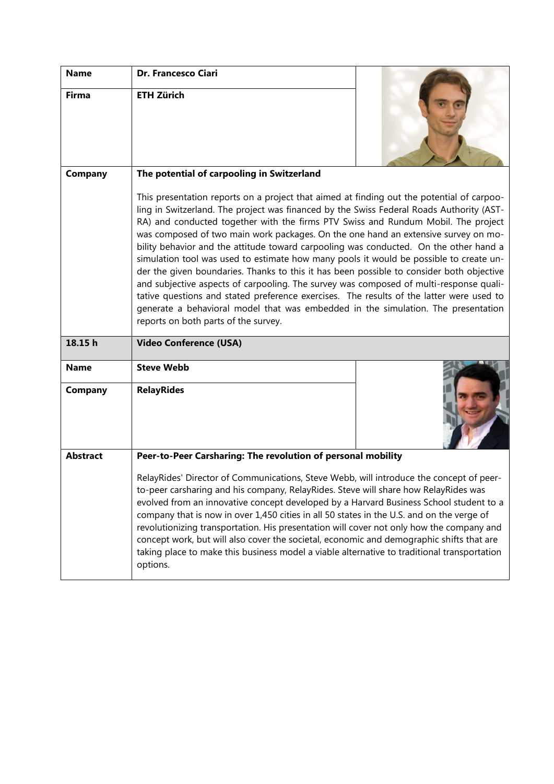| <b>Name</b>     | Dr. Francesco Ciari                                                                                                                                                                                                                                                                                                                                                                                                                                                                                                                                                                                                                                                                                                                                                                                                                                                                                                                                                |  |
|-----------------|--------------------------------------------------------------------------------------------------------------------------------------------------------------------------------------------------------------------------------------------------------------------------------------------------------------------------------------------------------------------------------------------------------------------------------------------------------------------------------------------------------------------------------------------------------------------------------------------------------------------------------------------------------------------------------------------------------------------------------------------------------------------------------------------------------------------------------------------------------------------------------------------------------------------------------------------------------------------|--|
| <b>Firma</b>    | <b>ETH Zürich</b>                                                                                                                                                                                                                                                                                                                                                                                                                                                                                                                                                                                                                                                                                                                                                                                                                                                                                                                                                  |  |
| Company         | The potential of carpooling in Switzerland                                                                                                                                                                                                                                                                                                                                                                                                                                                                                                                                                                                                                                                                                                                                                                                                                                                                                                                         |  |
|                 | This presentation reports on a project that aimed at finding out the potential of carpoo-<br>ling in Switzerland. The project was financed by the Swiss Federal Roads Authority (AST-<br>RA) and conducted together with the firms PTV Swiss and Rundum Mobil. The project<br>was composed of two main work packages. On the one hand an extensive survey on mo-<br>bility behavior and the attitude toward carpooling was conducted. On the other hand a<br>simulation tool was used to estimate how many pools it would be possible to create un-<br>der the given boundaries. Thanks to this it has been possible to consider both objective<br>and subjective aspects of carpooling. The survey was composed of multi-response quali-<br>tative questions and stated preference exercises. The results of the latter were used to<br>generate a behavioral model that was embedded in the simulation. The presentation<br>reports on both parts of the survey. |  |
| 18.15h          |                                                                                                                                                                                                                                                                                                                                                                                                                                                                                                                                                                                                                                                                                                                                                                                                                                                                                                                                                                    |  |
|                 | <b>Video Conference (USA)</b>                                                                                                                                                                                                                                                                                                                                                                                                                                                                                                                                                                                                                                                                                                                                                                                                                                                                                                                                      |  |
| <b>Name</b>     | <b>Steve Webb</b>                                                                                                                                                                                                                                                                                                                                                                                                                                                                                                                                                                                                                                                                                                                                                                                                                                                                                                                                                  |  |
| Company         | <b>RelayRides</b>                                                                                                                                                                                                                                                                                                                                                                                                                                                                                                                                                                                                                                                                                                                                                                                                                                                                                                                                                  |  |
| <b>Abstract</b> | Peer-to-Peer Carsharing: The revolution of personal mobility                                                                                                                                                                                                                                                                                                                                                                                                                                                                                                                                                                                                                                                                                                                                                                                                                                                                                                       |  |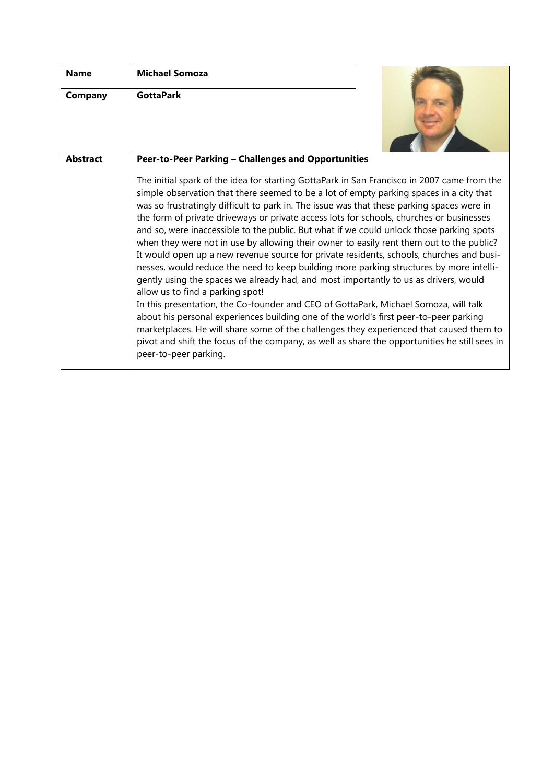| <b>Name</b>     | <b>Michael Somoza</b>                                                                                                                                                                                                                                                                                                                                                                                                                                                                                                                                                                                                                                                                                                                                                                                                                                                                                                                                                                                                                                                                                                                                                                                                                                                                             |  |
|-----------------|---------------------------------------------------------------------------------------------------------------------------------------------------------------------------------------------------------------------------------------------------------------------------------------------------------------------------------------------------------------------------------------------------------------------------------------------------------------------------------------------------------------------------------------------------------------------------------------------------------------------------------------------------------------------------------------------------------------------------------------------------------------------------------------------------------------------------------------------------------------------------------------------------------------------------------------------------------------------------------------------------------------------------------------------------------------------------------------------------------------------------------------------------------------------------------------------------------------------------------------------------------------------------------------------------|--|
| Company         | <b>GottaPark</b>                                                                                                                                                                                                                                                                                                                                                                                                                                                                                                                                                                                                                                                                                                                                                                                                                                                                                                                                                                                                                                                                                                                                                                                                                                                                                  |  |
| <b>Abstract</b> | Peer-to-Peer Parking - Challenges and Opportunities                                                                                                                                                                                                                                                                                                                                                                                                                                                                                                                                                                                                                                                                                                                                                                                                                                                                                                                                                                                                                                                                                                                                                                                                                                               |  |
|                 | The initial spark of the idea for starting GottaPark in San Francisco in 2007 came from the<br>simple observation that there seemed to be a lot of empty parking spaces in a city that<br>was so frustratingly difficult to park in. The issue was that these parking spaces were in<br>the form of private driveways or private access lots for schools, churches or businesses<br>and so, were inaccessible to the public. But what if we could unlock those parking spots<br>when they were not in use by allowing their owner to easily rent them out to the public?<br>It would open up a new revenue source for private residents, schools, churches and busi-<br>nesses, would reduce the need to keep building more parking structures by more intelli-<br>gently using the spaces we already had, and most importantly to us as drivers, would<br>allow us to find a parking spot!<br>In this presentation, the Co-founder and CEO of GottaPark, Michael Somoza, will talk<br>about his personal experiences building one of the world's first peer-to-peer parking<br>marketplaces. He will share some of the challenges they experienced that caused them to<br>pivot and shift the focus of the company, as well as share the opportunities he still sees in<br>peer-to-peer parking. |  |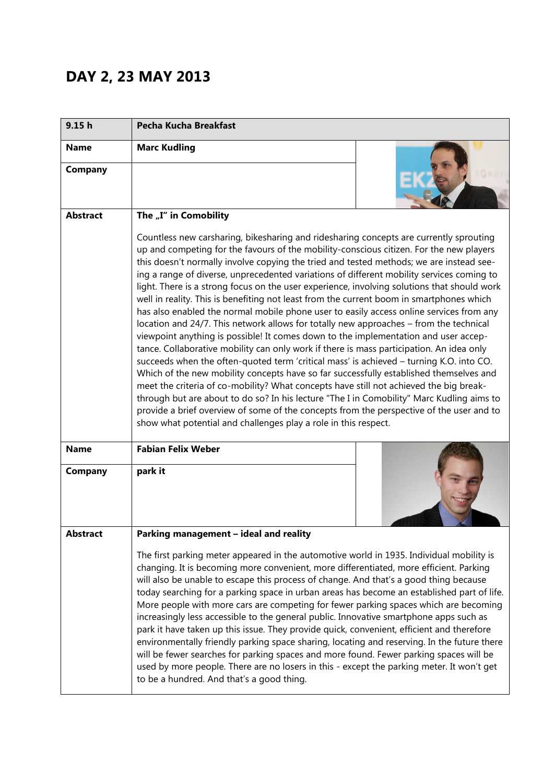## **DAY 2, 23 MAY 2013**

| 9.15 <sub>h</sub>      | Pecha Kucha Breakfast                                                                                                                                                                                                                                                                                                                                                                                                                                                                                                                                                                                                                                                                                                                                                                                                                                                                                                                                                                                                                                                                                                                                                                                                                                                                                                                                                                                                                                                                   |
|------------------------|-----------------------------------------------------------------------------------------------------------------------------------------------------------------------------------------------------------------------------------------------------------------------------------------------------------------------------------------------------------------------------------------------------------------------------------------------------------------------------------------------------------------------------------------------------------------------------------------------------------------------------------------------------------------------------------------------------------------------------------------------------------------------------------------------------------------------------------------------------------------------------------------------------------------------------------------------------------------------------------------------------------------------------------------------------------------------------------------------------------------------------------------------------------------------------------------------------------------------------------------------------------------------------------------------------------------------------------------------------------------------------------------------------------------------------------------------------------------------------------------|
| <b>Name</b>            | <b>Marc Kudling</b>                                                                                                                                                                                                                                                                                                                                                                                                                                                                                                                                                                                                                                                                                                                                                                                                                                                                                                                                                                                                                                                                                                                                                                                                                                                                                                                                                                                                                                                                     |
| <b>Company</b>         |                                                                                                                                                                                                                                                                                                                                                                                                                                                                                                                                                                                                                                                                                                                                                                                                                                                                                                                                                                                                                                                                                                                                                                                                                                                                                                                                                                                                                                                                                         |
| <b>Abstract</b>        | The "I" in Comobility                                                                                                                                                                                                                                                                                                                                                                                                                                                                                                                                                                                                                                                                                                                                                                                                                                                                                                                                                                                                                                                                                                                                                                                                                                                                                                                                                                                                                                                                   |
|                        | Countless new carsharing, bikesharing and ridesharing concepts are currently sprouting<br>up and competing for the favours of the mobility-conscious citizen. For the new players<br>this doesn't normally involve copying the tried and tested methods; we are instead see-<br>ing a range of diverse, unprecedented variations of different mobility services coming to<br>light. There is a strong focus on the user experience, involving solutions that should work<br>well in reality. This is benefiting not least from the current boom in smartphones which<br>has also enabled the normal mobile phone user to easily access online services from any<br>location and 24/7. This network allows for totally new approaches - from the technical<br>viewpoint anything is possible! It comes down to the implementation and user accep-<br>tance. Collaborative mobility can only work if there is mass participation. An idea only<br>succeeds when the often-quoted term 'critical mass' is achieved - turning K.O. into CO.<br>Which of the new mobility concepts have so far successfully established themselves and<br>meet the criteria of co-mobility? What concepts have still not achieved the big break-<br>through but are about to do so? In his lecture "The I in Comobility" Marc Kudling aims to<br>provide a brief overview of some of the concepts from the perspective of the user and to<br>show what potential and challenges play a role in this respect. |
| <b>Name</b><br>Company | <b>Fabian Felix Weber</b><br>park it                                                                                                                                                                                                                                                                                                                                                                                                                                                                                                                                                                                                                                                                                                                                                                                                                                                                                                                                                                                                                                                                                                                                                                                                                                                                                                                                                                                                                                                    |
| <b>Abstract</b>        | Parking management - ideal and reality                                                                                                                                                                                                                                                                                                                                                                                                                                                                                                                                                                                                                                                                                                                                                                                                                                                                                                                                                                                                                                                                                                                                                                                                                                                                                                                                                                                                                                                  |
|                        | The first parking meter appeared in the automotive world in 1935. Individual mobility is<br>changing. It is becoming more convenient, more differentiated, more efficient. Parking<br>will also be unable to escape this process of change. And that's a good thing because<br>today searching for a parking space in urban areas has become an established part of life.<br>More people with more cars are competing for fewer parking spaces which are becoming<br>increasingly less accessible to the general public. Innovative smartphone apps such as<br>park it have taken up this issue. They provide quick, convenient, efficient and therefore<br>environmentally friendly parking space sharing, locating and reserving. In the future there<br>will be fewer searches for parking spaces and more found. Fewer parking spaces will be<br>used by more people. There are no losers in this - except the parking meter. It won't get<br>to be a hundred. And that's a good thing.                                                                                                                                                                                                                                                                                                                                                                                                                                                                                             |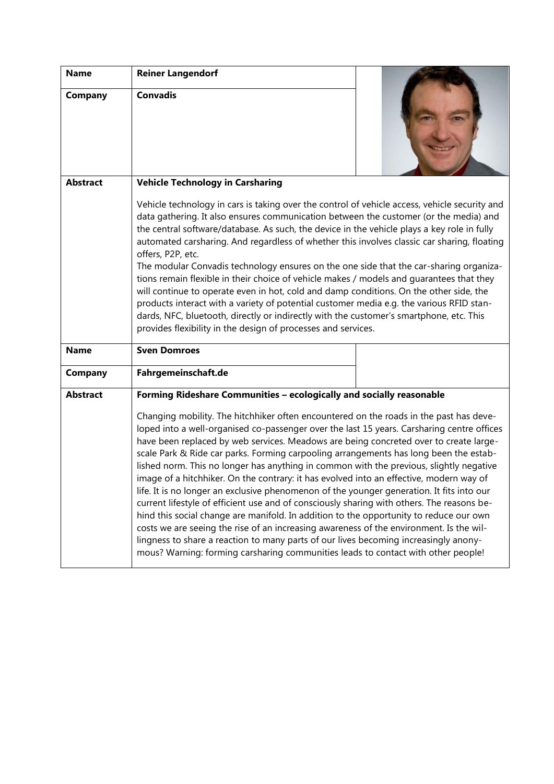| <b>Name</b>     | <b>Reiner Langendorf</b>                                                                                                                                                                                                                                                                                                                                                                                                                                                                                                                                                                                                                                                                                                                                                                                                                                                                                                                                                                                                                                                                                                  |  |
|-----------------|---------------------------------------------------------------------------------------------------------------------------------------------------------------------------------------------------------------------------------------------------------------------------------------------------------------------------------------------------------------------------------------------------------------------------------------------------------------------------------------------------------------------------------------------------------------------------------------------------------------------------------------------------------------------------------------------------------------------------------------------------------------------------------------------------------------------------------------------------------------------------------------------------------------------------------------------------------------------------------------------------------------------------------------------------------------------------------------------------------------------------|--|
| Company         | <b>Convadis</b>                                                                                                                                                                                                                                                                                                                                                                                                                                                                                                                                                                                                                                                                                                                                                                                                                                                                                                                                                                                                                                                                                                           |  |
| <b>Abstract</b> | <b>Vehicle Technology in Carsharing</b>                                                                                                                                                                                                                                                                                                                                                                                                                                                                                                                                                                                                                                                                                                                                                                                                                                                                                                                                                                                                                                                                                   |  |
|                 | Vehicle technology in cars is taking over the control of vehicle access, vehicle security and<br>data gathering. It also ensures communication between the customer (or the media) and<br>the central software/database. As such, the device in the vehicle plays a key role in fully<br>automated carsharing. And regardless of whether this involves classic car sharing, floating<br>offers, P2P, etc.<br>The modular Convadis technology ensures on the one side that the car-sharing organiza-<br>tions remain flexible in their choice of vehicle makes / models and guarantees that they<br>will continue to operate even in hot, cold and damp conditions. On the other side, the<br>products interact with a variety of potential customer media e.g. the various RFID stan-<br>dards, NFC, bluetooth, directly or indirectly with the customer's smartphone, etc. This<br>provides flexibility in the design of processes and services.                                                                                                                                                                         |  |
| <b>Name</b>     | <b>Sven Domroes</b>                                                                                                                                                                                                                                                                                                                                                                                                                                                                                                                                                                                                                                                                                                                                                                                                                                                                                                                                                                                                                                                                                                       |  |
| Company         | Fahrgemeinschaft.de                                                                                                                                                                                                                                                                                                                                                                                                                                                                                                                                                                                                                                                                                                                                                                                                                                                                                                                                                                                                                                                                                                       |  |
| <b>Abstract</b> | Forming Rideshare Communities - ecologically and socially reasonable                                                                                                                                                                                                                                                                                                                                                                                                                                                                                                                                                                                                                                                                                                                                                                                                                                                                                                                                                                                                                                                      |  |
|                 | Changing mobility. The hitchhiker often encountered on the roads in the past has deve-<br>loped into a well-organised co-passenger over the last 15 years. Carsharing centre offices<br>have been replaced by web services. Meadows are being concreted over to create large-<br>scale Park & Ride car parks. Forming carpooling arrangements has long been the estab-<br>lished norm. This no longer has anything in common with the previous, slightly negative<br>image of a hitchhiker. On the contrary: it has evolved into an effective, modern way of<br>life. It is no longer an exclusive phenomenon of the younger generation. It fits into our<br>current lifestyle of efficient use and of consciously sharing with others. The reasons be-<br>hind this social change are manifold. In addition to the opportunity to reduce our own<br>costs we are seeing the rise of an increasing awareness of the environment. Is the wil-<br>lingness to share a reaction to many parts of our lives becoming increasingly anony-<br>mous? Warning: forming carsharing communities leads to contact with other people! |  |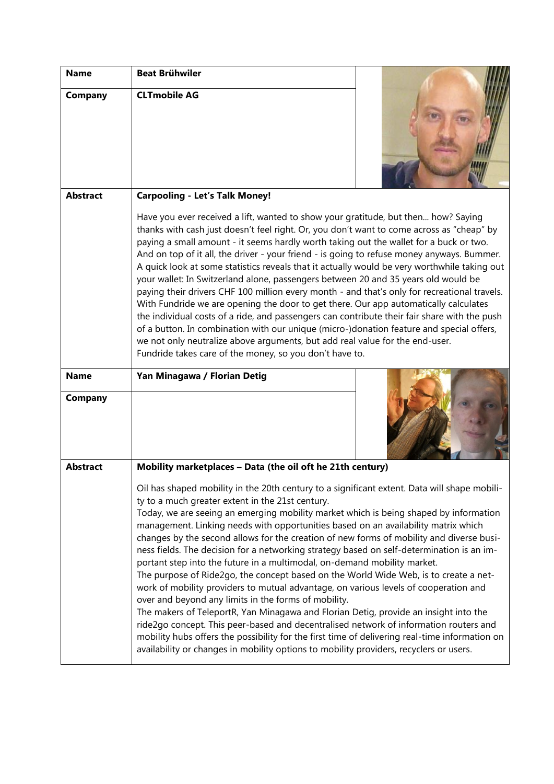| <b>Name</b>            | <b>Beat Brühwiler</b>                                                                                                                                                                                                                                                                                                                                                                                                                                                                                                                                                                                                                                                                                                                                                                                                                                                                                                                                                                                                                                                                        |
|------------------------|----------------------------------------------------------------------------------------------------------------------------------------------------------------------------------------------------------------------------------------------------------------------------------------------------------------------------------------------------------------------------------------------------------------------------------------------------------------------------------------------------------------------------------------------------------------------------------------------------------------------------------------------------------------------------------------------------------------------------------------------------------------------------------------------------------------------------------------------------------------------------------------------------------------------------------------------------------------------------------------------------------------------------------------------------------------------------------------------|
| Company                | <b>CLTmobile AG</b>                                                                                                                                                                                                                                                                                                                                                                                                                                                                                                                                                                                                                                                                                                                                                                                                                                                                                                                                                                                                                                                                          |
| <b>Abstract</b>        | <b>Carpooling - Let's Talk Money!</b>                                                                                                                                                                                                                                                                                                                                                                                                                                                                                                                                                                                                                                                                                                                                                                                                                                                                                                                                                                                                                                                        |
|                        | Have you ever received a lift, wanted to show your gratitude, but then how? Saying<br>thanks with cash just doesn't feel right. Or, you don't want to come across as "cheap" by<br>paying a small amount - it seems hardly worth taking out the wallet for a buck or two.<br>And on top of it all, the driver - your friend - is going to refuse money anyways. Bummer.<br>A quick look at some statistics reveals that it actually would be very worthwhile taking out<br>your wallet: In Switzerland alone, passengers between 20 and 35 years old would be<br>paying their drivers CHF 100 million every month - and that's only for recreational travels.<br>With Fundride we are opening the door to get there. Our app automatically calculates<br>the individual costs of a ride, and passengers can contribute their fair share with the push<br>of a button. In combination with our unique (micro-)donation feature and special offers,<br>we not only neutralize above arguments, but add real value for the end-user.<br>Fundride takes care of the money, so you don't have to. |
| <b>Name</b><br>Company | Yan Minagawa / Florian Detig                                                                                                                                                                                                                                                                                                                                                                                                                                                                                                                                                                                                                                                                                                                                                                                                                                                                                                                                                                                                                                                                 |
|                        |                                                                                                                                                                                                                                                                                                                                                                                                                                                                                                                                                                                                                                                                                                                                                                                                                                                                                                                                                                                                                                                                                              |
| <b>Abstract</b>        | Mobility marketplaces - Data (the oil oft he 21th century)                                                                                                                                                                                                                                                                                                                                                                                                                                                                                                                                                                                                                                                                                                                                                                                                                                                                                                                                                                                                                                   |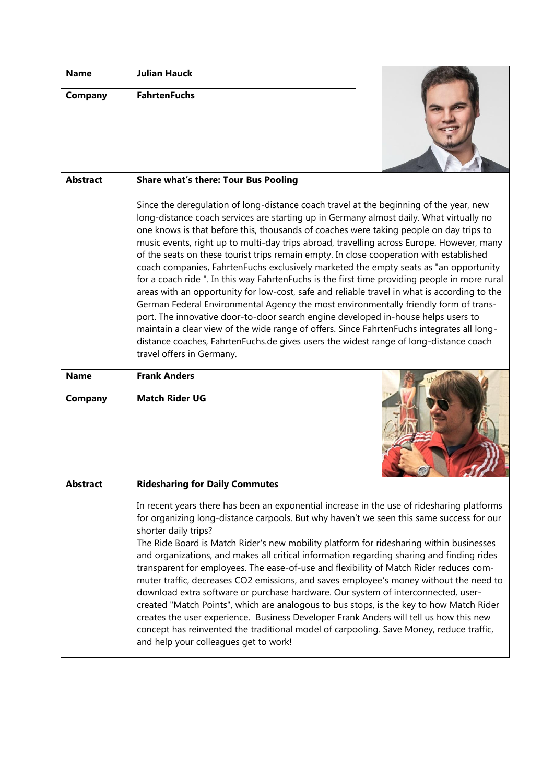| <b>Name</b>            | <b>Julian Hauck</b>                                                                                                                                                                                                                                                                                                                                                                                                                                                                                                                                                                                                                                                                                                                                                                                                                                                                                                                                                                                                                                                                                                                                            |  |
|------------------------|----------------------------------------------------------------------------------------------------------------------------------------------------------------------------------------------------------------------------------------------------------------------------------------------------------------------------------------------------------------------------------------------------------------------------------------------------------------------------------------------------------------------------------------------------------------------------------------------------------------------------------------------------------------------------------------------------------------------------------------------------------------------------------------------------------------------------------------------------------------------------------------------------------------------------------------------------------------------------------------------------------------------------------------------------------------------------------------------------------------------------------------------------------------|--|
| Company                | <b>FahrtenFuchs</b>                                                                                                                                                                                                                                                                                                                                                                                                                                                                                                                                                                                                                                                                                                                                                                                                                                                                                                                                                                                                                                                                                                                                            |  |
| <b>Abstract</b>        | <b>Share what's there: Tour Bus Pooling</b>                                                                                                                                                                                                                                                                                                                                                                                                                                                                                                                                                                                                                                                                                                                                                                                                                                                                                                                                                                                                                                                                                                                    |  |
|                        | Since the deregulation of long-distance coach travel at the beginning of the year, new<br>long-distance coach services are starting up in Germany almost daily. What virtually no<br>one knows is that before this, thousands of coaches were taking people on day trips to<br>music events, right up to multi-day trips abroad, travelling across Europe. However, many<br>of the seats on these tourist trips remain empty. In close cooperation with established<br>coach companies, FahrtenFuchs exclusively marketed the empty seats as "an opportunity<br>for a coach ride ". In this way FahrtenFuchs is the first time providing people in more rural<br>areas with an opportunity for low-cost, safe and reliable travel in what is according to the<br>German Federal Environmental Agency the most environmentally friendly form of trans-<br>port. The innovative door-to-door search engine developed in-house helps users to<br>maintain a clear view of the wide range of offers. Since FahrtenFuchs integrates all long-<br>distance coaches, FahrtenFuchs.de gives users the widest range of long-distance coach<br>travel offers in Germany. |  |
| <b>Name</b><br>Company | <b>Frank Anders</b><br><b>Match Rider UG</b>                                                                                                                                                                                                                                                                                                                                                                                                                                                                                                                                                                                                                                                                                                                                                                                                                                                                                                                                                                                                                                                                                                                   |  |
| Abstract               | <b>Ridesharing for Daily Commutes</b>                                                                                                                                                                                                                                                                                                                                                                                                                                                                                                                                                                                                                                                                                                                                                                                                                                                                                                                                                                                                                                                                                                                          |  |
|                        | In recent years there has been an exponential increase in the use of ridesharing platforms<br>for organizing long-distance carpools. But why haven't we seen this same success for our<br>shorter daily trips?<br>The Ride Board is Match Rider's new mobility platform for ridesharing within businesses<br>and organizations, and makes all critical information regarding sharing and finding rides<br>transparent for employees. The ease-of-use and flexibility of Match Rider reduces com-<br>muter traffic, decreases CO2 emissions, and saves employee's money without the need to<br>download extra software or purchase hardware. Our system of interconnected, user-<br>created "Match Points", which are analogous to bus stops, is the key to how Match Rider<br>creates the user experience. Business Developer Frank Anders will tell us how this new<br>concept has reinvented the traditional model of carpooling. Save Money, reduce traffic,<br>and help your colleagues get to work!                                                                                                                                                       |  |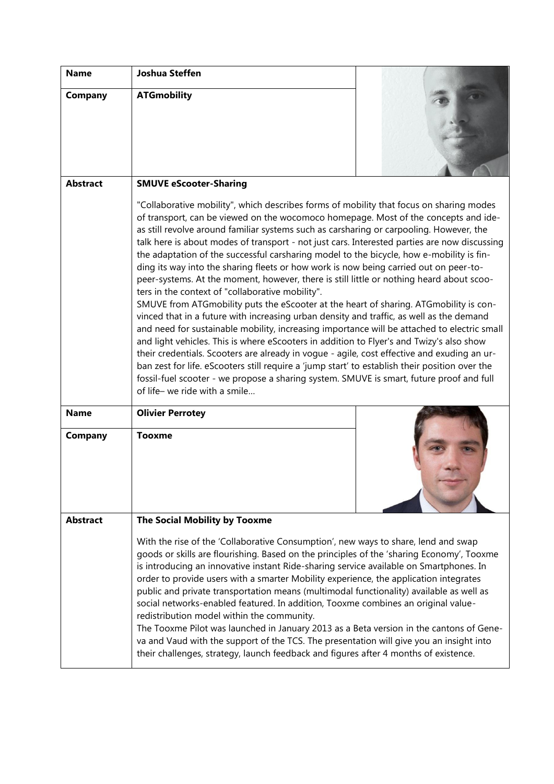| <b>Name</b>     | <b>Joshua Steffen</b>                                                                                                                                                                                                                                                                                                                                                                                                                                                                                                                                                                                                                                                                                                                                                                                                                                                                                                                                                                                                                                                                                                                                                                                                                                                                                                                                                                                                        |  |  |
|-----------------|------------------------------------------------------------------------------------------------------------------------------------------------------------------------------------------------------------------------------------------------------------------------------------------------------------------------------------------------------------------------------------------------------------------------------------------------------------------------------------------------------------------------------------------------------------------------------------------------------------------------------------------------------------------------------------------------------------------------------------------------------------------------------------------------------------------------------------------------------------------------------------------------------------------------------------------------------------------------------------------------------------------------------------------------------------------------------------------------------------------------------------------------------------------------------------------------------------------------------------------------------------------------------------------------------------------------------------------------------------------------------------------------------------------------------|--|--|
| Company         | <b>ATGmobility</b>                                                                                                                                                                                                                                                                                                                                                                                                                                                                                                                                                                                                                                                                                                                                                                                                                                                                                                                                                                                                                                                                                                                                                                                                                                                                                                                                                                                                           |  |  |
|                 |                                                                                                                                                                                                                                                                                                                                                                                                                                                                                                                                                                                                                                                                                                                                                                                                                                                                                                                                                                                                                                                                                                                                                                                                                                                                                                                                                                                                                              |  |  |
|                 |                                                                                                                                                                                                                                                                                                                                                                                                                                                                                                                                                                                                                                                                                                                                                                                                                                                                                                                                                                                                                                                                                                                                                                                                                                                                                                                                                                                                                              |  |  |
|                 |                                                                                                                                                                                                                                                                                                                                                                                                                                                                                                                                                                                                                                                                                                                                                                                                                                                                                                                                                                                                                                                                                                                                                                                                                                                                                                                                                                                                                              |  |  |
| <b>Abstract</b> | <b>SMUVE eScooter-Sharing</b>                                                                                                                                                                                                                                                                                                                                                                                                                                                                                                                                                                                                                                                                                                                                                                                                                                                                                                                                                                                                                                                                                                                                                                                                                                                                                                                                                                                                |  |  |
|                 | "Collaborative mobility", which describes forms of mobility that focus on sharing modes<br>of transport, can be viewed on the wocomoco homepage. Most of the concepts and ide-<br>as still revolve around familiar systems such as carsharing or carpooling. However, the<br>talk here is about modes of transport - not just cars. Interested parties are now discussing<br>the adaptation of the successful carsharing model to the bicycle, how e-mobility is fin-<br>ding its way into the sharing fleets or how work is now being carried out on peer-to-<br>peer-systems. At the moment, however, there is still little or nothing heard about scoo-<br>ters in the context of "collaborative mobility".<br>SMUVE from ATGmobility puts the eScooter at the heart of sharing. ATGmobility is con-<br>vinced that in a future with increasing urban density and traffic, as well as the demand<br>and need for sustainable mobility, increasing importance will be attached to electric small<br>and light vehicles. This is where eScooters in addition to Flyer's and Twizy's also show<br>their credentials. Scooters are already in vogue - agile, cost effective and exuding an ur-<br>ban zest for life. eScooters still require a 'jump start' to establish their position over the<br>fossil-fuel scooter - we propose a sharing system. SMUVE is smart, future proof and full<br>of life- we ride with a smile |  |  |
| <b>Name</b>     | <b>Olivier Perrotey</b>                                                                                                                                                                                                                                                                                                                                                                                                                                                                                                                                                                                                                                                                                                                                                                                                                                                                                                                                                                                                                                                                                                                                                                                                                                                                                                                                                                                                      |  |  |
| Company         | <b>Tooxme</b>                                                                                                                                                                                                                                                                                                                                                                                                                                                                                                                                                                                                                                                                                                                                                                                                                                                                                                                                                                                                                                                                                                                                                                                                                                                                                                                                                                                                                |  |  |
| <b>Abstract</b> | The Social Mobility by Tooxme                                                                                                                                                                                                                                                                                                                                                                                                                                                                                                                                                                                                                                                                                                                                                                                                                                                                                                                                                                                                                                                                                                                                                                                                                                                                                                                                                                                                |  |  |
|                 | With the rise of the 'Collaborative Consumption', new ways to share, lend and swap<br>goods or skills are flourishing. Based on the principles of the 'sharing Economy', Tooxme<br>is introducing an innovative instant Ride-sharing service available on Smartphones. In<br>order to provide users with a smarter Mobility experience, the application integrates<br>public and private transportation means (multimodal functionality) available as well as<br>social networks-enabled featured. In addition, Tooxme combines an original value-<br>redistribution model within the community.<br>The Tooxme Pilot was launched in January 2013 as a Beta version in the cantons of Gene-<br>va and Vaud with the support of the TCS. The presentation will give you an insight into<br>their challenges, strategy, launch feedback and figures after 4 months of existence.                                                                                                                                                                                                                                                                                                                                                                                                                                                                                                                                               |  |  |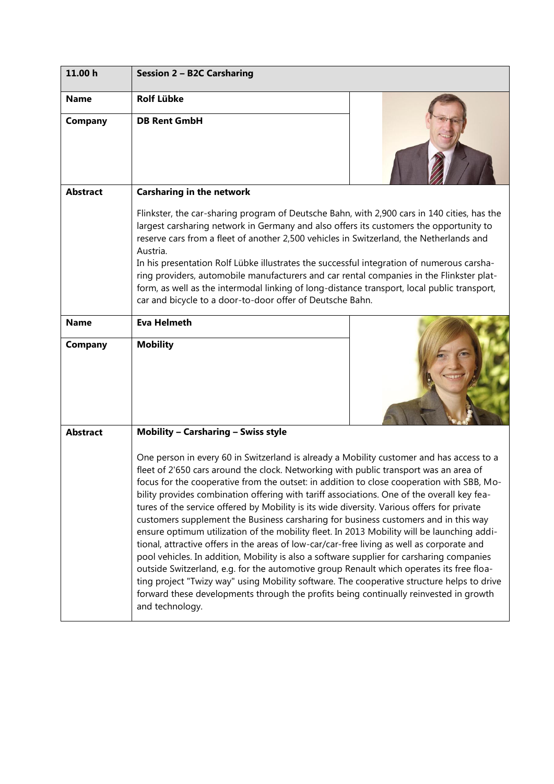| 11.00 h         | <b>Session 2 - B2C Carsharing</b>                                                                                                                                                                                                                                                                                                                                                                                                                                                                                                                                                                                                                                                                                                                                                                                                                                                                                                                                                                                                                                                                                                                                |  |  |
|-----------------|------------------------------------------------------------------------------------------------------------------------------------------------------------------------------------------------------------------------------------------------------------------------------------------------------------------------------------------------------------------------------------------------------------------------------------------------------------------------------------------------------------------------------------------------------------------------------------------------------------------------------------------------------------------------------------------------------------------------------------------------------------------------------------------------------------------------------------------------------------------------------------------------------------------------------------------------------------------------------------------------------------------------------------------------------------------------------------------------------------------------------------------------------------------|--|--|
| <b>Name</b>     | <b>Rolf Lübke</b>                                                                                                                                                                                                                                                                                                                                                                                                                                                                                                                                                                                                                                                                                                                                                                                                                                                                                                                                                                                                                                                                                                                                                |  |  |
| Company         | <b>DB Rent GmbH</b>                                                                                                                                                                                                                                                                                                                                                                                                                                                                                                                                                                                                                                                                                                                                                                                                                                                                                                                                                                                                                                                                                                                                              |  |  |
| <b>Abstract</b> | <b>Carsharing in the network</b>                                                                                                                                                                                                                                                                                                                                                                                                                                                                                                                                                                                                                                                                                                                                                                                                                                                                                                                                                                                                                                                                                                                                 |  |  |
|                 | Flinkster, the car-sharing program of Deutsche Bahn, with 2,900 cars in 140 cities, has the<br>largest carsharing network in Germany and also offers its customers the opportunity to<br>reserve cars from a fleet of another 2,500 vehicles in Switzerland, the Netherlands and<br>Austria.<br>In his presentation Rolf Lübke illustrates the successful integration of numerous carsha-<br>ring providers, automobile manufacturers and car rental companies in the Flinkster plat-<br>form, as well as the intermodal linking of long-distance transport, local public transport,<br>car and bicycle to a door-to-door offer of Deutsche Bahn.                                                                                                                                                                                                                                                                                                                                                                                                                                                                                                                |  |  |
| <b>Name</b>     | <b>Eva Helmeth</b>                                                                                                                                                                                                                                                                                                                                                                                                                                                                                                                                                                                                                                                                                                                                                                                                                                                                                                                                                                                                                                                                                                                                               |  |  |
| <b>Company</b>  | <b>Mobility</b>                                                                                                                                                                                                                                                                                                                                                                                                                                                                                                                                                                                                                                                                                                                                                                                                                                                                                                                                                                                                                                                                                                                                                  |  |  |
| <b>Abstract</b> | <b>Mobility - Carsharing - Swiss style</b>                                                                                                                                                                                                                                                                                                                                                                                                                                                                                                                                                                                                                                                                                                                                                                                                                                                                                                                                                                                                                                                                                                                       |  |  |
|                 | One person in every 60 in Switzerland is already a Mobility customer and has access to a<br>fleet of 2'650 cars around the clock. Networking with public transport was an area of<br>focus for the cooperative from the outset: in addition to close cooperation with SBB, Mo-<br>bility provides combination offering with tariff associations. One of the overall key fea-<br>tures of the service offered by Mobility is its wide diversity. Various offers for private<br>customers supplement the Business carsharing for business customers and in this way<br>ensure optimum utilization of the mobility fleet. In 2013 Mobility will be launching addi-<br>tional, attractive offers in the areas of low-car/car-free living as well as corporate and<br>pool vehicles. In addition, Mobility is also a software supplier for carsharing companies<br>outside Switzerland, e.g. for the automotive group Renault which operates its free floa-<br>ting project "Twizy way" using Mobility software. The cooperative structure helps to drive<br>forward these developments through the profits being continually reinvested in growth<br>and technology. |  |  |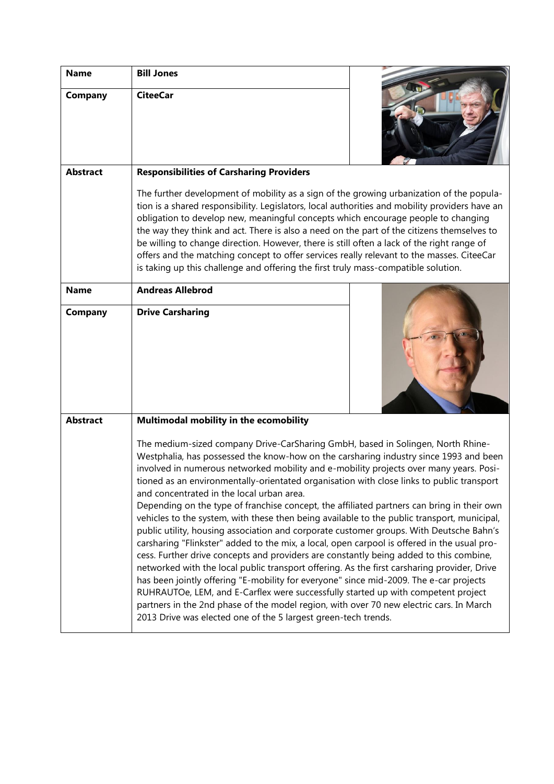| <b>Name</b>     | <b>Bill Jones</b>                                                                                                                                                                                                                                                                                                                                                                                                                                                                                                                                                                                                                                                                                                                                                                                                                                                                                                                                                                                                                                                                                                                                                                                                                                                                                                                        |  |
|-----------------|------------------------------------------------------------------------------------------------------------------------------------------------------------------------------------------------------------------------------------------------------------------------------------------------------------------------------------------------------------------------------------------------------------------------------------------------------------------------------------------------------------------------------------------------------------------------------------------------------------------------------------------------------------------------------------------------------------------------------------------------------------------------------------------------------------------------------------------------------------------------------------------------------------------------------------------------------------------------------------------------------------------------------------------------------------------------------------------------------------------------------------------------------------------------------------------------------------------------------------------------------------------------------------------------------------------------------------------|--|
| Company         | <b>CiteeCar</b>                                                                                                                                                                                                                                                                                                                                                                                                                                                                                                                                                                                                                                                                                                                                                                                                                                                                                                                                                                                                                                                                                                                                                                                                                                                                                                                          |  |
| <b>Abstract</b> | <b>Responsibilities of Carsharing Providers</b>                                                                                                                                                                                                                                                                                                                                                                                                                                                                                                                                                                                                                                                                                                                                                                                                                                                                                                                                                                                                                                                                                                                                                                                                                                                                                          |  |
|                 | The further development of mobility as a sign of the growing urbanization of the popula-<br>tion is a shared responsibility. Legislators, local authorities and mobility providers have an<br>obligation to develop new, meaningful concepts which encourage people to changing<br>the way they think and act. There is also a need on the part of the citizens themselves to<br>be willing to change direction. However, there is still often a lack of the right range of<br>offers and the matching concept to offer services really relevant to the masses. CiteeCar<br>is taking up this challenge and offering the first truly mass-compatible solution.                                                                                                                                                                                                                                                                                                                                                                                                                                                                                                                                                                                                                                                                           |  |
| <b>Name</b>     | <b>Andreas Allebrod</b>                                                                                                                                                                                                                                                                                                                                                                                                                                                                                                                                                                                                                                                                                                                                                                                                                                                                                                                                                                                                                                                                                                                                                                                                                                                                                                                  |  |
| Company         | <b>Drive Carsharing</b>                                                                                                                                                                                                                                                                                                                                                                                                                                                                                                                                                                                                                                                                                                                                                                                                                                                                                                                                                                                                                                                                                                                                                                                                                                                                                                                  |  |
| <b>Abstract</b> | Multimodal mobility in the ecomobility                                                                                                                                                                                                                                                                                                                                                                                                                                                                                                                                                                                                                                                                                                                                                                                                                                                                                                                                                                                                                                                                                                                                                                                                                                                                                                   |  |
|                 | The medium-sized company Drive-CarSharing GmbH, based in Solingen, North Rhine-<br>Westphalia, has possessed the know-how on the carsharing industry since 1993 and been<br>involved in numerous networked mobility and e-mobility projects over many years. Posi-<br>tioned as an environmentally-orientated organisation with close links to public transport<br>and concentrated in the local urban area.<br>Depending on the type of franchise concept, the affiliated partners can bring in their own<br>vehicles to the system, with these then being available to the public transport, municipal,<br>public utility, housing association and corporate customer groups. With Deutsche Bahn's<br>carsharing "Flinkster" added to the mix, a local, open carpool is offered in the usual pro-<br>cess. Further drive concepts and providers are constantly being added to this combine,<br>networked with the local public transport offering. As the first carsharing provider, Drive<br>has been jointly offering "E-mobility for everyone" since mid-2009. The e-car projects<br>RUHRAUTOe, LEM, and E-Carflex were successfully started up with competent project<br>partners in the 2nd phase of the model region, with over 70 new electric cars. In March<br>2013 Drive was elected one of the 5 largest green-tech trends. |  |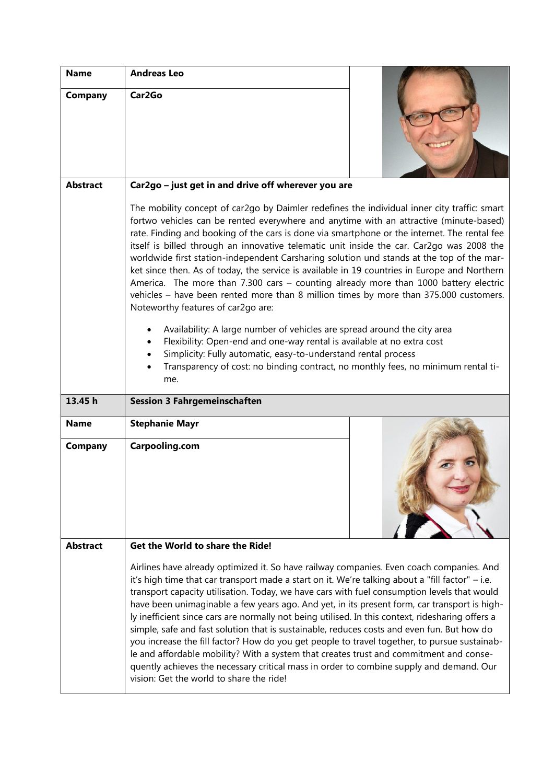| <b>Name</b>     | <b>Andreas Leo</b>                                                                                                                                                                                                                                                                                                                                                                                                                                                                                                                                                                                                                                                                                                                                                                                                                                                                                                                                                                                                                                                                                                          |  |  |
|-----------------|-----------------------------------------------------------------------------------------------------------------------------------------------------------------------------------------------------------------------------------------------------------------------------------------------------------------------------------------------------------------------------------------------------------------------------------------------------------------------------------------------------------------------------------------------------------------------------------------------------------------------------------------------------------------------------------------------------------------------------------------------------------------------------------------------------------------------------------------------------------------------------------------------------------------------------------------------------------------------------------------------------------------------------------------------------------------------------------------------------------------------------|--|--|
| Company         | Car <sub>2Go</sub>                                                                                                                                                                                                                                                                                                                                                                                                                                                                                                                                                                                                                                                                                                                                                                                                                                                                                                                                                                                                                                                                                                          |  |  |
| <b>Abstract</b> | Car2go - just get in and drive off wherever you are                                                                                                                                                                                                                                                                                                                                                                                                                                                                                                                                                                                                                                                                                                                                                                                                                                                                                                                                                                                                                                                                         |  |  |
|                 | The mobility concept of car2go by Daimler redefines the individual inner city traffic: smart<br>fortwo vehicles can be rented everywhere and anytime with an attractive (minute-based)<br>rate. Finding and booking of the cars is done via smartphone or the internet. The rental fee<br>itself is billed through an innovative telematic unit inside the car. Car2go was 2008 the<br>worldwide first station-independent Carsharing solution und stands at the top of the mar-<br>ket since then. As of today, the service is available in 19 countries in Europe and Northern<br>America. The more than 7.300 cars - counting already more than 1000 battery electric<br>vehicles - have been rented more than 8 million times by more than 375.000 customers.<br>Noteworthy features of car2go are:<br>Availability: A large number of vehicles are spread around the city area<br>Flexibility: Open-end and one-way rental is available at no extra cost<br>Simplicity: Fully automatic, easy-to-understand rental process<br>Transparency of cost: no binding contract, no monthly fees, no minimum rental ti-<br>me. |  |  |
| 13.45 h         | <b>Session 3 Fahrgemeinschaften</b>                                                                                                                                                                                                                                                                                                                                                                                                                                                                                                                                                                                                                                                                                                                                                                                                                                                                                                                                                                                                                                                                                         |  |  |
| <b>Name</b>     | <b>Stephanie Mayr</b>                                                                                                                                                                                                                                                                                                                                                                                                                                                                                                                                                                                                                                                                                                                                                                                                                                                                                                                                                                                                                                                                                                       |  |  |
| <b>Company</b>  | Carpooling.com                                                                                                                                                                                                                                                                                                                                                                                                                                                                                                                                                                                                                                                                                                                                                                                                                                                                                                                                                                                                                                                                                                              |  |  |
| <b>Abstract</b> | Get the World to share the Ride!                                                                                                                                                                                                                                                                                                                                                                                                                                                                                                                                                                                                                                                                                                                                                                                                                                                                                                                                                                                                                                                                                            |  |  |
|                 | Airlines have already optimized it. So have railway companies. Even coach companies. And<br>it's high time that car transport made a start on it. We're talking about a "fill factor" - i.e.<br>transport capacity utilisation. Today, we have cars with fuel consumption levels that would<br>have been unimaginable a few years ago. And yet, in its present form, car transport is high-<br>ly inefficient since cars are normally not being utilised. In this context, ridesharing offers a<br>simple, safe and fast solution that is sustainable, reduces costs and even fun. But how do<br>you increase the fill factor? How do you get people to travel together, to pursue sustainab-<br>le and affordable mobility? With a system that creates trust and commitment and conse-<br>quently achieves the necessary critical mass in order to combine supply and demand. Our<br>vision: Get the world to share the ride!                                                                                                                                                                                              |  |  |